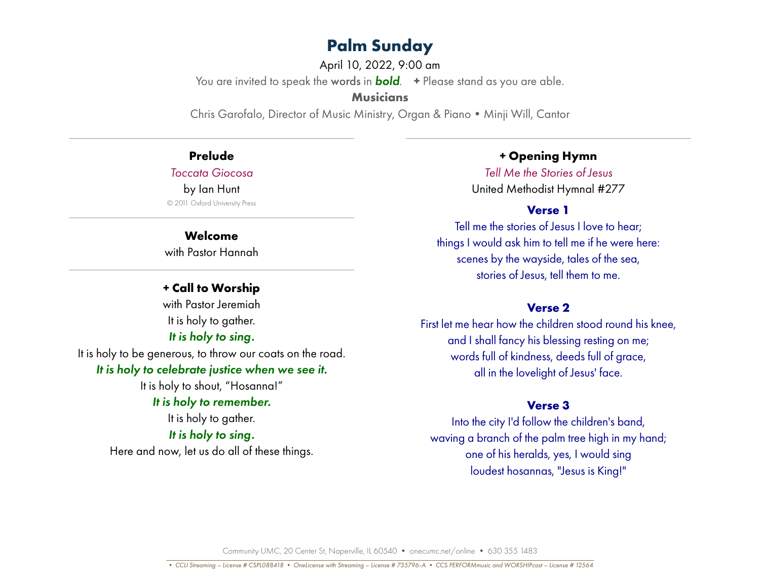April 10, 2022, 9:00 am

You are invited to speak the words in *bold*. **+** Please stand as you are able.

**Musicians**

Chris Garofalo, Director of Music Ministry, Organ & Piano • Minji Will, Cantor

# **Prelude**

*Toccata Giocosa*

#### by Ian Hunt

© 2011 Oxford University Press

#### **Welcome**

with Pastor Hannah

# **+ Call to Worship**

with Pastor Jeremiah It is holy to gather. *It is holy to sing.*

# It is holy to be generous, to throw our coats on the road.

# *It is holy to celebrate justice when we see it.*

It is holy to shout, "Hosanna!" *It is holy to remember.*

It is holy to gather.

### *It is holy to sing.*

Here and now, let us do all of these things.

# **+ Opening Hymn**

*Tell Me the Stories of Jesus*  United Methodist Hymnal #277

# **Verse 1**

Tell me the stories of Jesus I love to hear; things I would ask him to tell me if he were here: scenes by the wayside, tales of the sea, stories of Jesus, tell them to me.

# **Verse 2**

First let me hear how the children stood round his knee, and I shall fancy his blessing resting on me; words full of kindness, deeds full of grace, all in the lovelight of Jesus' face.

# **Verse 3**

Into the city I'd follow the children's band, waving a branch of the palm tree high in my hand; one of his heralds, yes, I would sing loudest hosannas, "Jesus is King!"

Community UMC, 20 Center St, Naperville, IL 60540 • onecumc.net/online • 630 355 1483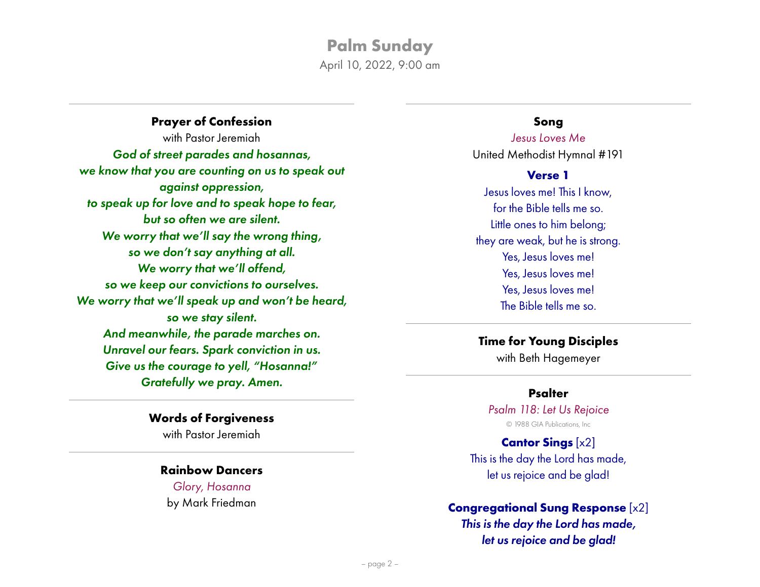April 10, 2022, 9:00 am

**Prayer of Confession** with Pastor Jeremiah *God of street parades and hosannas, we know that you are counting on us to speak out against oppression, to speak up for love and to speak hope to fear, but so often we are silent. We worry that we'll say the wrong thing, so we don't say anything at all. We worry that we'll offend, so we keep our convictions to ourselves. We worry that we'll speak up and won't be heard, so we stay silent. And meanwhile, the parade marches on. Unravel our fears. Spark conviction in us. Give us the courage to yell, "Hosanna!" Gratefully we pray. Amen.*

#### **Words of Forgiveness**

with Pastor Jeremiah

#### **Rainbow Dancers**

*Glory, Hosanna* by Mark Friedman

#### **Song**

*Jesus Loves Me* United Methodist Hymnal #191

#### **Verse 1**

Jesus loves me! This I know, for the Bible tells me so. Little ones to him belong; they are weak, but he is strong. Yes, Jesus loves me! Yes, Jesus loves me! Yes, Jesus loves me! The Bible tells me so.

# **Time for Young Disciples**

with Beth Hagemeyer

#### **Psalter**

*Psalm 118: Let Us Rejoice* © 1988 GIA Publications, Inc

# **Cantor Sings** [x2] This is the day the Lord has made, let us rejoice and be glad!

# **Congregational Sung Response** [x2]

*This is the day the Lord has made, let us rejoice and be glad!*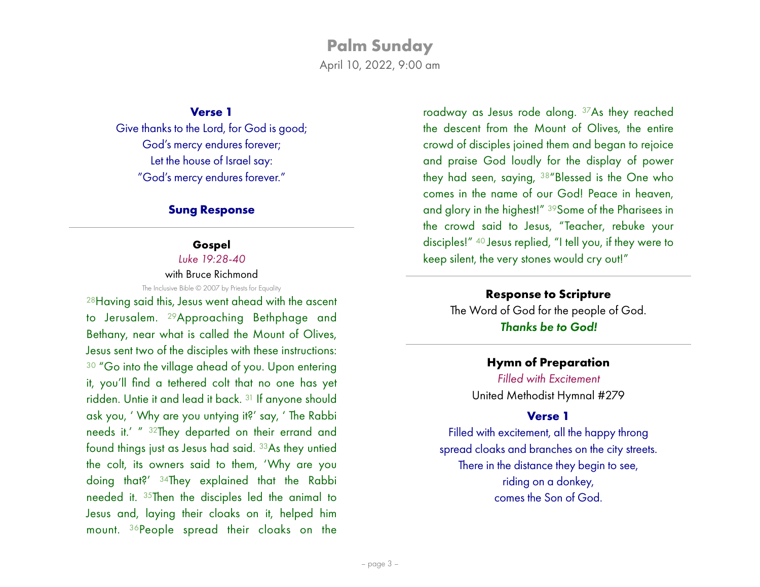April 10, 2022, 9:00 am

### **Verse 1**

Give thanks to the Lord, for God is good; God's mercy endures forever; Let the house of Israel say: "God's mercy endures forever."

#### **Sung Response**

### **Gospel**

*Luke 19:28-40*

with Bruce Richmond

The Inclusive Bible © 2007 by Priests for Equality

28Having said this, Jesus went ahead with the ascent to Jerusalem. 29Approaching Bethphage and Bethany, near what is called the Mount of Olives, Jesus sent two of the disciples with these instructions: <sup>30</sup> "Go into the village ahead of you. Upon entering it, you'll find a tethered colt that no one has yet ridden. Untie it and lead it back. 31 If anyone should ask you, ' Why are you untying it?' say, ' The Rabbi needs it.' " 32They departed on their errand and found things just as Jesus had said. 33As they untied the colt, its owners said to them, 'Why are you doing that?' 34They explained that the Rabbi needed it. 35Then the disciples led the animal to Jesus and, laying their cloaks on it, helped him mount. 36People spread their cloaks on the

roadway as Jesus rode along. 37As they reached the descent from the Mount of Olives, the entire crowd of disciples joined them and began to rejoice and praise God loudly for the display of power they had seen, saying, 38"Blessed is the One who comes in the name of our God! Peace in heaven, and glory in the highest!" 39Some of the Pharisees in the crowd said to Jesus, "Teacher, rebuke your disciples!" 40 Jesus replied, "I tell you, if they were to keep silent, the very stones would cry out!"

# **Response to Scripture**

The Word of God for the people of God. *Thanks be to God!*

# **Hymn of Preparation**

*Filled with Excitement* United Methodist Hymnal #279

# **Verse 1**

Filled with excitement, all the happy throng spread cloaks and branches on the city streets. There in the distance they begin to see, riding on a donkey, comes the Son of God.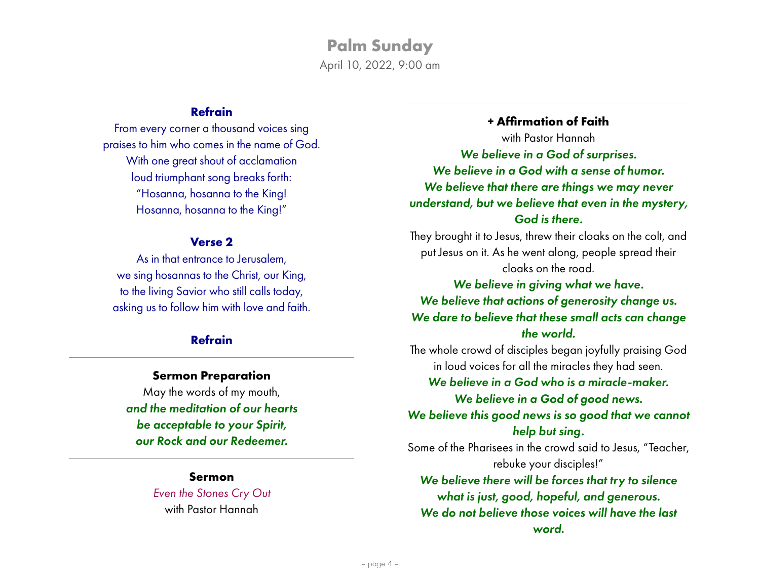# **Palm Sunday** April 10, 2022, 9:00 am

# **Refrain**

From every corner a thousand voices sing praises to him who comes in the name of God. With one great shout of acclamation loud triumphant song breaks forth: "Hosanna, hosanna to the King! Hosanna, hosanna to the King!"

#### **Verse 2**

As in that entrance to Jerusalem, we sing hosannas to the Christ, our King, to the living Savior who still calls today, asking us to follow him with love and faith.

# **Refrain**

#### **Sermon Preparation**

May the words of my mouth, *and the meditation of our hearts be acceptable to your Spirit, our Rock and our Redeemer.*

> **Sermon** *Even the Stones Cry Out* with Pastor Hannah

**+ Affirmation of Faith** with Pastor Hannah *We believe in a God of surprises. We believe in a God with a sense of humor. We believe that there are things we may never understand, but we believe that even in the mystery, God is there.*

They brought it to Jesus, threw their cloaks on the colt, and put Jesus on it. As he went along, people spread their cloaks on the road.

*We believe in giving what we have. We believe that actions of generosity change us. We dare to believe that these small acts can change the world.*

The whole crowd of disciples began joyfully praising God in loud voices for all the miracles they had seen.

*We believe in a God who is a miracle-maker. We believe in a God of good news.*

*We believe this good news is so good that we cannot help but sing.*

Some of the Pharisees in the crowd said to Jesus, "Teacher, rebuke your disciples!"

*We believe there will be forces that try to silence what is just, good, hopeful, and generous. We do not believe those voices will have the last word.*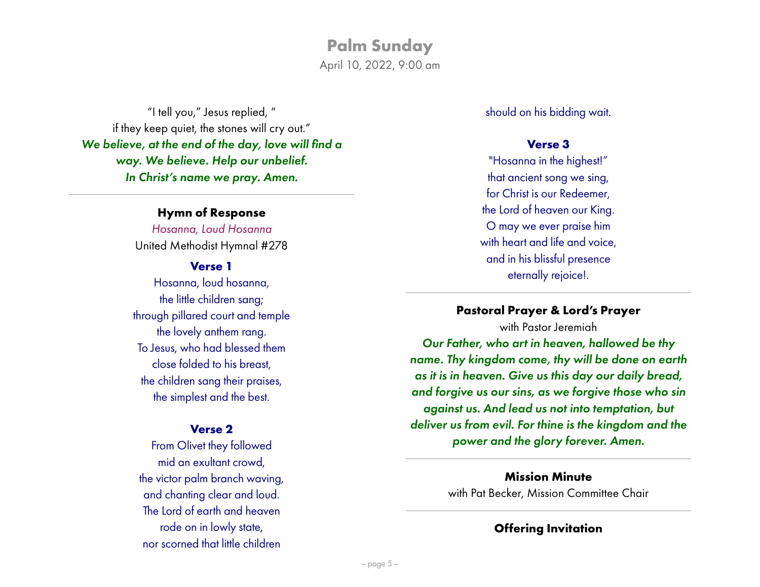# **Palm Sunday** April 10, 2022, 9:00 am

"I tell you," Jesus replied, " if they keep quiet, the stones will cry out." *We believe, at the end of the day, love will find a way. We believe. Help our unbelief. In Christ's name we pray. Amen.*

#### **Hymn of Response**

*Hosanna, Loud Hosanna* United Methodist Hymnal #278

#### **Verse 1**

Hosanna, loud hosanna, the little children sang; through pillared court and temple the lovely anthem rang. To Jesus, who had blessed them close folded to his breast, the children sang their praises, the simplest and the best.

#### **Verse 2**

From Olivet they followed mid an exultant crowd, the victor palm branch waving, and chanting clear and loud. The Lord of earth and heaven rode on in lowly state, nor scorned that little children

should on his bidding wait.

#### **Verse 3**

"Hosanna in the highest!" that ancient song we sing, for Christ is our Redeemer, the Lord of heaven our King. O may we ever praise him with heart and life and voice, and in his blissful presence eternally rejoice!.

#### **Pastoral Prayer & Lord's Prayer**

with Pastor Jeremiah *Our Father, who art in heaven, hallowed be thy name. Thy kingdom come, thy will be done on earth as it is in heaven. Give us this day our daily bread, and forgive us our sins, as we forgive those who sin against us. And lead us not into temptation, but deliver us from evil. For thine is the kingdom and the power and the glory forever. Amen.*

> **Mission Minute**  with Pat Becker, Mission Committee Chair

#### **Offering Invitation**